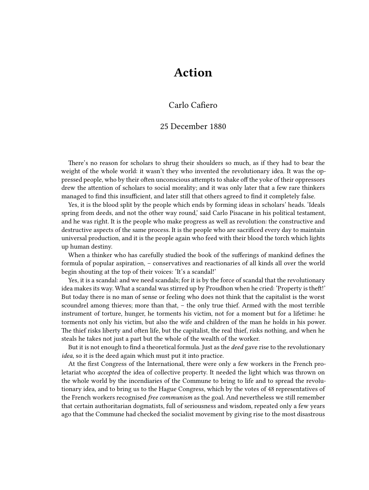# **Action**

### Carlo Cafiero

#### 25 December 1880

There's no reason for scholars to shrug their shoulders so much, as if they had to bear the weight of the whole world: it wasn't they who invented the revolutionary idea. It was the oppressed people, who by their often unconscious attempts to shake off the yoke of their oppressors drew the attention of scholars to social morality; and it was only later that a few rare thinkers managed to find this insufficient, and later still that others agreed to find it completely false.

Yes, it is the blood split by the people which ends by forming ideas in scholars' heads. 'Ideals spring from deeds, and not the other way round,' said Carlo Pisacane in his political testament, and he was right. It is the people who make progress as well as revolution: the constructive and destructive aspects of the same process. It is the people who are sacrificed every day to maintain universal production, and it is the people again who feed with their blood the torch which lights up human destiny.

When a thinker who has carefully studied the book of the sufferings of mankind defines the formula of popular aspiration, – conservatives and reactionaries of all kinds all over the world begin shouting at the top of their voices: 'It's a scandal!'

Yes, it is a scandal: and we need scandals; for it is by the force of scandal that the revolutionary idea makes its way. What a scandal was stirred up by Proudhon when he cried: 'Property is theft!' But today there is no man of sense or feeling who does not think that the capitalist is the worst scoundrel among thieves; more than that, – the only true thief. Armed with the most terrible instrument of torture, hunger, he torments his victim, not for a moment but for a lifetime: he torments not only his victim, but also the wife and children of the man he holds in his power. The thief risks liberty and often life, but the capitalist, the real thief, risks nothing, and when he steals he takes not just a part but the whole of the wealth of the worker.

But it is not enough to find a theoretical formula. Just as the *deed* gave rise to the revolutionary *idea*, so it is the deed again which must put it into practice.

At the first Congress of the International, there were only a few workers in the French proletariat who *accepted* the idea of collective property. It needed the light which was thrown on the whole world by the incendiaries of the Commune to bring to life and to spread the revolutionary idea, and to bring us to the Hague Congress, which by the votes of 48 representatives of the French workers recognised *free communism* as the goal. And nevertheless we still remember that certain authoritarian dogmatists, full of seriousness and wisdom, repeated only a few years ago that the Commune had checked the socialist movement by giving rise to the most disastrous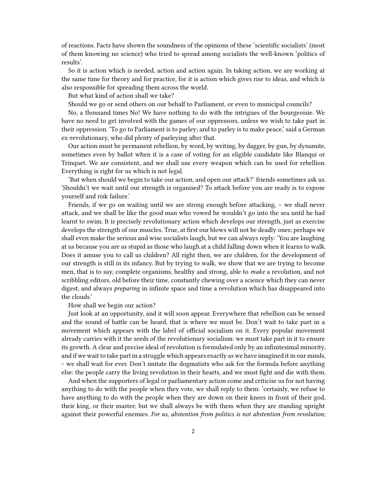of reactions. Facts have shown the soundness of the opinions of these 'scientific socialists' (most of them knowing no science) who tried to spread among socialists the well-known 'politics of results'.

So it is action which is needed, action and action again. In taking action, we are working at the same time for theory and for practice, for it is action which gives rise to ideas, and which is also responsible for spreading them across the world.

But what kind of action shall we take?

Should we go or send others on our behalf to Parliament, or even to municipal councils?

No, a thousand times No! We have nothing to do with the intrigues of the bourgeoisie. We have no need to get involved with the games of our oppressors, unless we wish to take part in their oppression. 'To go to Parliament is to parley; and to parley is to make peace,' said a German ex-revolutionary, who did plenty of parleying after that.

Our action must be permanent rebellion, by word, by writing, by dagger, by gun, by dynamite, sometimes even by ballot when it is a case of voting for an eligible candidate like Blanqui or Trinquet. We are consistent, and we shall use every weapon which can be used for rebellion. Everything is right for us which is not legal.

'But when should we begin to take our action, and open our attack?' friends sometimes ask us. 'Shouldn't we wait until our strength is organised? To attack before you are ready is to expose yourself and risk failure.'

Friends, if we go on waiting until we are strong enough before attacking, – we shall never attack, and we shall be like the good man who vowed he wouldn't go into the sea until he had learnt to swim. It is precisely revolutionary action which develops our strength, just as exercise develops the strength of our muscles. True, at first our blows will not be deadly ones; perhaps we shall even make the serious and wise socialists laugh, but we can always reply: 'You are laughing at us because you are as stupid as those who laugh at a child falling down when it learns to walk. Does it amuse you to call us children? All right then, we are children, for the development of our strength is still in its infancy. But by trying to walk, we show that we are trying to become men, that is to say, complete organisms, healthy and strong, able to *make* a revolution, and not scribbling editors, old before their time, constantly chewing over a science which they can never digest, and always *preparing* in infinite space and time a revolution which has disappeared into the clouds.'

#### How shall we begin our action?

Just look at an opportunity, and it will soon appear. Everywhere that rebellion can be sensed and the sound of battle can be heard, that is where we must be. Don't wait to take part in a movement which appears with the label of official socialism on it. Every popular movement already carries with it the seeds of the revolutionary socialism: we must take part in it to ensure its growth. A clear and precise ideal of revolution is formulated only by an infinitesimal minority, and if we wait to take part in a struggle which appears exactly as we have imagined it in our minds, – we shall wait for ever. Don't imitate the dogmatists who ask for the formula before anything else: the people carry the living revolution in their hearts, and we must fight and die with them.

And when the supporters of legal or parliamentary action come and criticise us for not having anything to do with the people when they vote, we shall reply to them: 'certainly, we refuse to have anything to do with the people when they are down on their knees in front of their god, their king, or their master; but we shall always be with them when they are standing upright against their powerful enemies. *For us, abstention from politics is not abstention from revolution;*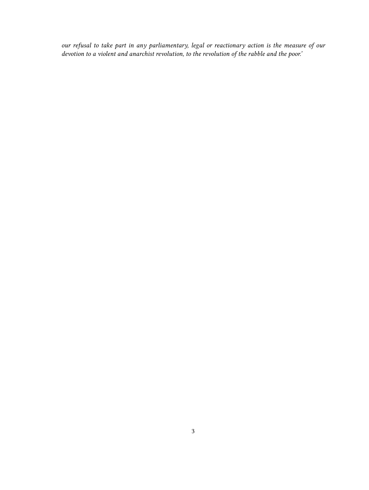*our refusal to take part in any parliamentary, legal or reactionary action is the measure of our devotion to a violent and anarchist revolution, to the revolution of the rabble and the poor.'*